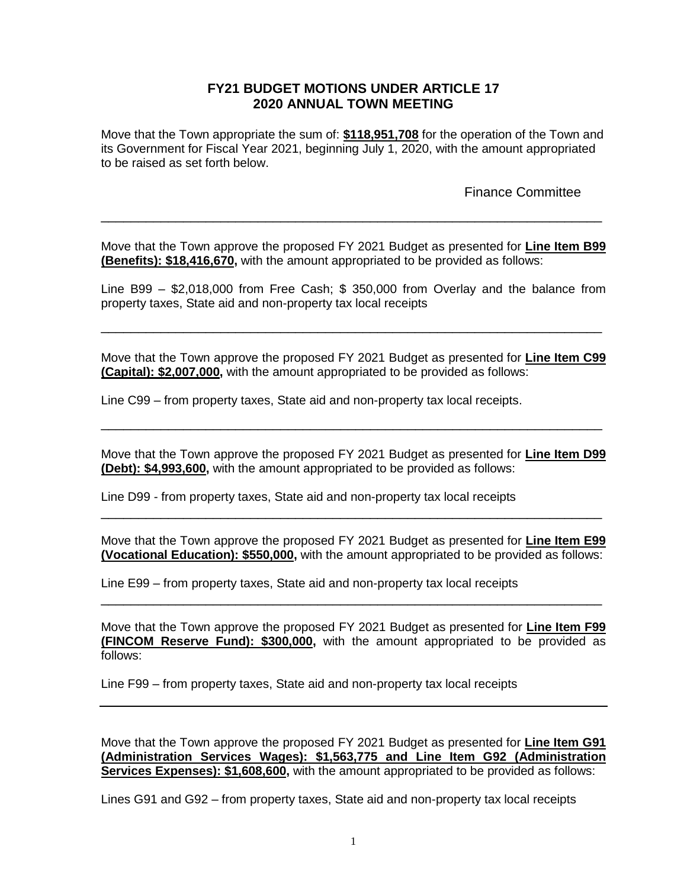## **FY21 BUDGET MOTIONS UNDER ARTICLE 17 2020 ANNUAL TOWN MEETING**

Move that the Town appropriate the sum of: **\$118,951,708** for the operation of the Town and its Government for Fiscal Year 2021, beginning July 1, 2020, with the amount appropriated to be raised as set forth below.

Finance Committee

Move that the Town approve the proposed FY 2021 Budget as presented for **Line Item B99 (Benefits): \$18,416,670,** with the amount appropriated to be provided as follows:

\_\_\_\_\_\_\_\_\_\_\_\_\_\_\_\_\_\_\_\_\_\_\_\_\_\_\_\_\_\_\_\_\_\_\_\_\_\_\_\_\_\_\_\_\_\_\_\_\_\_\_\_\_\_\_\_\_\_\_\_\_\_\_\_\_\_\_

Line B99 – \$2,018,000 from Free Cash; \$ 350,000 from Overlay and the balance from property taxes, State aid and non-property tax local receipts

\_\_\_\_\_\_\_\_\_\_\_\_\_\_\_\_\_\_\_\_\_\_\_\_\_\_\_\_\_\_\_\_\_\_\_\_\_\_\_\_\_\_\_\_\_\_\_\_\_\_\_\_\_\_\_\_\_\_\_\_\_\_\_\_\_\_\_

Move that the Town approve the proposed FY 2021 Budget as presented for **Line Item C99 (Capital): \$2,007,000,** with the amount appropriated to be provided as follows:

Line C99 – from property taxes, State aid and non-property tax local receipts.

Move that the Town approve the proposed FY 2021 Budget as presented for **Line Item D99 (Debt): \$4,993,600,** with the amount appropriated to be provided as follows:

\_\_\_\_\_\_\_\_\_\_\_\_\_\_\_\_\_\_\_\_\_\_\_\_\_\_\_\_\_\_\_\_\_\_\_\_\_\_\_\_\_\_\_\_\_\_\_\_\_\_\_\_\_\_\_\_\_\_\_\_\_\_\_\_\_\_\_

Line D99 - from property taxes, State aid and non-property tax local receipts

Move that the Town approve the proposed FY 2021 Budget as presented for **Line Item E99 (Vocational Education): \$550,000,** with the amount appropriated to be provided as follows:

\_\_\_\_\_\_\_\_\_\_\_\_\_\_\_\_\_\_\_\_\_\_\_\_\_\_\_\_\_\_\_\_\_\_\_\_\_\_\_\_\_\_\_\_\_\_\_\_\_\_\_\_\_\_\_\_\_\_\_\_\_\_\_\_\_\_\_

Line E99 – from property taxes, State aid and non-property tax local receipts

Move that the Town approve the proposed FY 2021 Budget as presented for **Line Item F99 (FINCOM Reserve Fund): \$300,000,** with the amount appropriated to be provided as follows:

\_\_\_\_\_\_\_\_\_\_\_\_\_\_\_\_\_\_\_\_\_\_\_\_\_\_\_\_\_\_\_\_\_\_\_\_\_\_\_\_\_\_\_\_\_\_\_\_\_\_\_\_\_\_\_\_\_\_\_\_\_\_\_\_\_\_\_

Line F99 – from property taxes, State aid and non-property tax local receipts

Move that the Town approve the proposed FY 2021 Budget as presented for **Line Item G91 (Administration Services Wages): \$1,563,775 and Line Item G92 (Administration Services Expenses): \$1,608,600,** with the amount appropriated to be provided as follows:

Lines G91 and G92 – from property taxes, State aid and non-property tax local receipts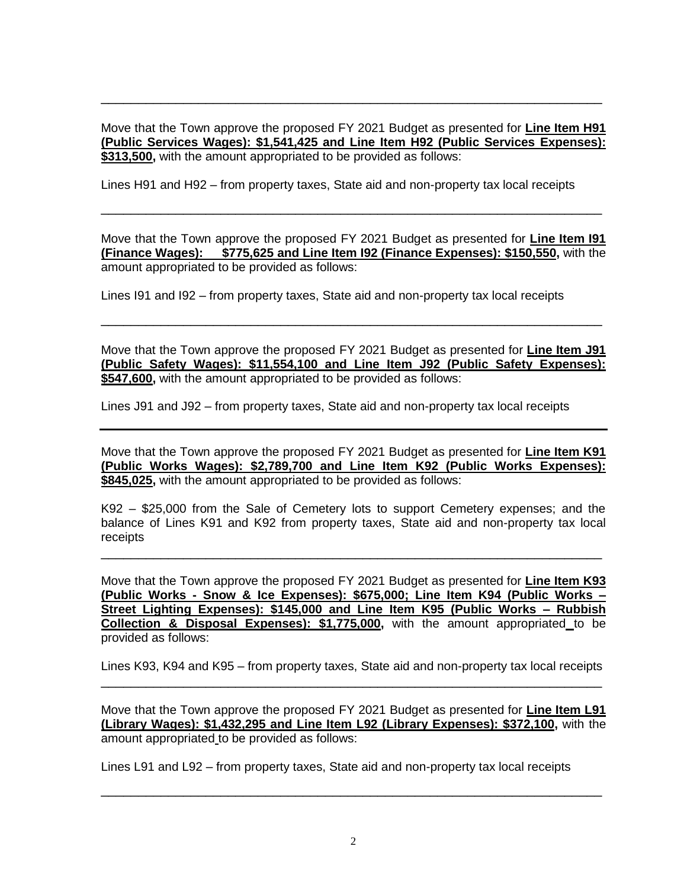Move that the Town approve the proposed FY 2021 Budget as presented for **Line Item H91 (Public Services Wages): \$1,541,425 and Line Item H92 (Public Services Expenses): \$313,500,** with the amount appropriated to be provided as follows:

\_\_\_\_\_\_\_\_\_\_\_\_\_\_\_\_\_\_\_\_\_\_\_\_\_\_\_\_\_\_\_\_\_\_\_\_\_\_\_\_\_\_\_\_\_\_\_\_\_\_\_\_\_\_\_\_\_\_\_\_\_\_\_\_\_\_\_

Lines H91 and H92 – from property taxes, State aid and non-property tax local receipts

Move that the Town approve the proposed FY 2021 Budget as presented for **Line Item I91 (Finance Wages): \$775,625 and Line Item I92 (Finance Expenses): \$150,550,** with the amount appropriated to be provided as follows:

\_\_\_\_\_\_\_\_\_\_\_\_\_\_\_\_\_\_\_\_\_\_\_\_\_\_\_\_\_\_\_\_\_\_\_\_\_\_\_\_\_\_\_\_\_\_\_\_\_\_\_\_\_\_\_\_\_\_\_\_\_\_\_\_\_\_\_

Lines I91 and I92 – from property taxes, State aid and non-property tax local receipts

Move that the Town approve the proposed FY 2021 Budget as presented for **Line Item J91 (Public Safety Wages): \$11,554,100 and Line Item J92 (Public Safety Expenses): \$547,600,** with the amount appropriated to be provided as follows:

\_\_\_\_\_\_\_\_\_\_\_\_\_\_\_\_\_\_\_\_\_\_\_\_\_\_\_\_\_\_\_\_\_\_\_\_\_\_\_\_\_\_\_\_\_\_\_\_\_\_\_\_\_\_\_\_\_\_\_\_\_\_\_\_\_\_\_

Lines J91 and J92 – from property taxes, State aid and non-property tax local receipts

Move that the Town approve the proposed FY 2021 Budget as presented for **Line Item K91 (Public Works Wages): \$2,789,700 and Line Item K92 (Public Works Expenses): \$845,025,** with the amount appropriated to be provided as follows:

K92 – \$25,000 from the Sale of Cemetery lots to support Cemetery expenses; and the balance of Lines K91 and K92 from property taxes, State aid and non-property tax local receipts

\_\_\_\_\_\_\_\_\_\_\_\_\_\_\_\_\_\_\_\_\_\_\_\_\_\_\_\_\_\_\_\_\_\_\_\_\_\_\_\_\_\_\_\_\_\_\_\_\_\_\_\_\_\_\_\_\_\_\_\_\_\_\_\_\_\_\_

Move that the Town approve the proposed FY 2021 Budget as presented for **Line Item K93 (Public Works - Snow & Ice Expenses): \$675,000; Line Item K94 (Public Works – Street Lighting Expenses): \$145,000 and Line Item K95 (Public Works – Rubbish Collection & Disposal Expenses): \$1,775,000,** with the amount appropriated to be provided as follows:

Lines K93, K94 and K95 – from property taxes, State aid and non-property tax local receipts \_\_\_\_\_\_\_\_\_\_\_\_\_\_\_\_\_\_\_\_\_\_\_\_\_\_\_\_\_\_\_\_\_\_\_\_\_\_\_\_\_\_\_\_\_\_\_\_\_\_\_\_\_\_\_\_\_\_\_\_\_\_\_\_\_\_\_

Move that the Town approve the proposed FY 2021 Budget as presented for **Line Item L91 (Library Wages): \$1,432,295 and Line Item L92 (Library Expenses): \$372,100,** with the amount appropriated to be provided as follows:

Lines L91 and L92 – from property taxes, State aid and non-property tax local receipts

\_\_\_\_\_\_\_\_\_\_\_\_\_\_\_\_\_\_\_\_\_\_\_\_\_\_\_\_\_\_\_\_\_\_\_\_\_\_\_\_\_\_\_\_\_\_\_\_\_\_\_\_\_\_\_\_\_\_\_\_\_\_\_\_\_\_\_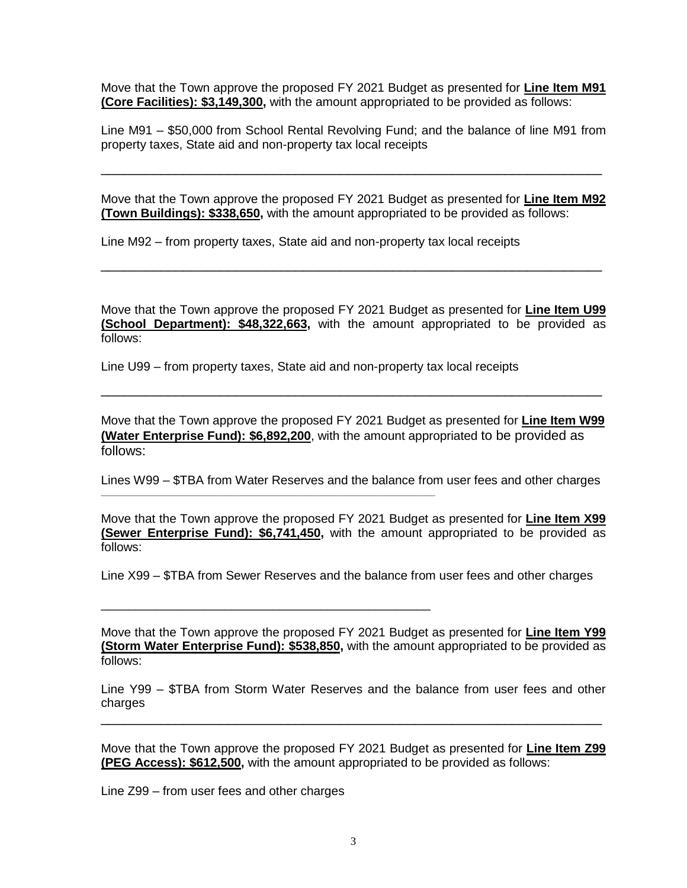Move that the Town approve the proposed FY 2021 Budget as presented for **Line Item M91 (Core Facilities): \$3,149,300,** with the amount appropriated to be provided as follows:

Line M91 – \$50,000 from School Rental Revolving Fund; and the balance of line M91 from property taxes, State aid and non-property tax local receipts

\_\_\_\_\_\_\_\_\_\_\_\_\_\_\_\_\_\_\_\_\_\_\_\_\_\_\_\_\_\_\_\_\_\_\_\_\_\_\_\_\_\_\_\_\_\_\_\_\_\_\_\_\_\_\_\_\_\_\_\_\_\_\_\_\_\_\_

Move that the Town approve the proposed FY 2021 Budget as presented for **Line Item M92 (Town Buildings): \$338,650,** with the amount appropriated to be provided as follows:

Line M92 – from property taxes, State aid and non-property tax local receipts

Move that the Town approve the proposed FY 2021 Budget as presented for **Line Item U99 (School Department): \$48,322,663,** with the amount appropriated to be provided as follows:

\_\_\_\_\_\_\_\_\_\_\_\_\_\_\_\_\_\_\_\_\_\_\_\_\_\_\_\_\_\_\_\_\_\_\_\_\_\_\_\_\_\_\_\_\_\_\_\_\_\_\_\_\_\_\_\_\_\_\_\_\_\_\_\_\_\_\_

Line U99 – from property taxes, State aid and non-property tax local receipts

**\_\_\_\_\_\_\_\_\_\_\_\_\_\_\_\_\_\_\_\_\_\_\_\_\_\_\_\_\_\_\_\_\_\_\_\_\_\_\_\_\_\_\_\_\_\_\_\_\_\_\_\_\_\_\_\_\_\_\_\_\_\_\_\_\_\_\_**

\_\_\_\_\_\_\_\_\_\_\_\_\_\_\_\_\_\_\_\_\_\_\_\_\_\_\_\_\_\_\_\_\_\_\_\_\_\_\_\_\_\_\_\_\_\_\_\_

Move that the Town approve the proposed FY 2021 Budget as presented for **Line Item W99 (Water Enterprise Fund): \$6,892,200**, with the amount appropriated to be provided as follows:

\_\_\_\_\_\_\_\_\_\_\_\_\_\_\_\_\_\_\_\_\_\_\_\_\_\_\_\_\_\_\_\_\_\_\_\_\_\_\_\_\_\_\_\_\_\_\_\_\_\_\_\_\_\_\_\_\_\_\_\_\_\_\_\_\_\_\_

Lines W99 – \$TBA from Water Reserves and the balance from user fees and other charges

Move that the Town approve the proposed FY 2021 Budget as presented for **Line Item X99 (Sewer Enterprise Fund): \$6,741,450,** with the amount appropriated to be provided as follows:

Line X99 – \$TBA from Sewer Reserves and the balance from user fees and other charges

Move that the Town approve the proposed FY 2021 Budget as presented for **Line Item Y99 (Storm Water Enterprise Fund): \$538,850,** with the amount appropriated to be provided as follows:

Line Y99 – \$TBA from Storm Water Reserves and the balance from user fees and other charges

\_\_\_\_\_\_\_\_\_\_\_\_\_\_\_\_\_\_\_\_\_\_\_\_\_\_\_\_\_\_\_\_\_\_\_\_\_\_\_\_\_\_\_\_\_\_\_\_\_\_\_\_\_\_\_\_\_\_\_\_\_\_\_\_\_\_\_

Move that the Town approve the proposed FY 2021 Budget as presented for **Line Item Z99 (PEG Access): \$612,500,** with the amount appropriated to be provided as follows:

Line Z99 – from user fees and other charges